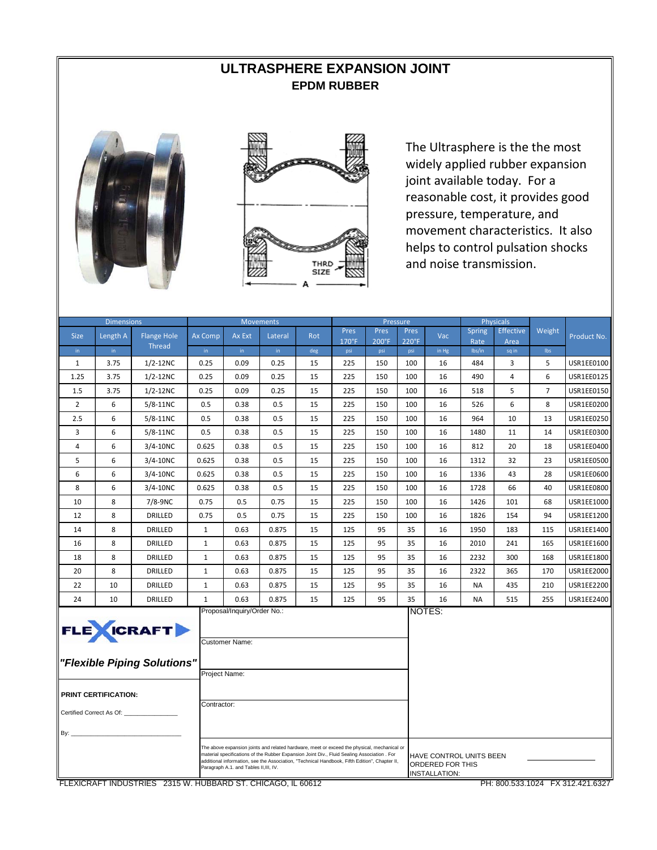## **ULTRASPHERE EXPANSION JOINT EPDM RUBBER**





The Ultrasphere is the the most widely applied rubber expansion joint available today. For a reasonable cost, it provides good pressure, temperature, and movement characteristics. It also helps to control pulsation shocks and noise transmission.

| <b>Dimensions</b>               |                             |                                                   |               | <b>Movements</b>                                                                                                                                                                                                                                                                                                                                                                                                            |         |     |              |              | Pressure     |        |                | Physicals        |                |                   |
|---------------------------------|-----------------------------|---------------------------------------------------|---------------|-----------------------------------------------------------------------------------------------------------------------------------------------------------------------------------------------------------------------------------------------------------------------------------------------------------------------------------------------------------------------------------------------------------------------------|---------|-----|--------------|--------------|--------------|--------|----------------|------------------|----------------|-------------------|
| <b>Size</b>                     | Length A                    | <b>Flange Hole</b>                                | Ax Comp       | Ax Ext                                                                                                                                                                                                                                                                                                                                                                                                                      | Lateral | Rot | Pres         | Pres         | Pres         | Vac    | <b>Spring</b>  | <b>Effective</b> | Weight         | Product No.       |
| in.                             | in                          | <b>Thread</b>                                     | in            | in                                                                                                                                                                                                                                                                                                                                                                                                                          | in      | deg | 170°F<br>psi | 200°F<br>psi | 220°F<br>psi | in Hg  | Rate<br>lbs/in | Area<br>sq in    | Ibs            |                   |
| $\mathbf{1}$                    | 3.75                        | $1/2 - 12NC$                                      | 0.25          | 0.09                                                                                                                                                                                                                                                                                                                                                                                                                        | 0.25    | 15  | 225          | 150          | 100          | 16     | 484            | 3                | 5              | USR1EE0100        |
| 1.25                            | 3.75                        | $1/2 - 12NC$                                      | 0.25          | 0.09                                                                                                                                                                                                                                                                                                                                                                                                                        | 0.25    | 15  | 225          | 150          | 100          | 16     | 490            | 4                | 6              | <b>USR1EE0125</b> |
| 1.5                             | 3.75                        | $1/2 - 12NC$                                      | 0.25          | 0.09                                                                                                                                                                                                                                                                                                                                                                                                                        | 0.25    | 15  | 225          | 150          | 100          | 16     | 518            | 5                | $\overline{7}$ | USR1EE0150        |
| 2                               | 6                           | 5/8-11NC                                          | 0.5           | 0.38                                                                                                                                                                                                                                                                                                                                                                                                                        | 0.5     | 15  | 225          | 150          | 100          | 16     | 526            | 6                | 8              | USR1EE0200        |
| 2.5                             | 6                           | 5/8-11NC                                          | 0.5           | 0.38                                                                                                                                                                                                                                                                                                                                                                                                                        | 0.5     | 15  | 225          | 150          | 100          | 16     | 964            | 10               | 13             | <b>USR1EE0250</b> |
| 3                               | 6                           | 5/8-11NC                                          | 0.5           | 0.38                                                                                                                                                                                                                                                                                                                                                                                                                        | 0.5     | 15  | 225          | 150          | 100          | 16     | 1480           | 11               | 14             | USR1EE0300        |
| 4                               | 6                           | 3/4-10NC                                          | 0.625         | 0.38                                                                                                                                                                                                                                                                                                                                                                                                                        | 0.5     | 15  | 225          | 150          | 100          | 16     | 812            | 20               | 18             | USR1EE0400        |
| 5                               | 6                           | 3/4-10NC                                          | 0.625         | 0.38                                                                                                                                                                                                                                                                                                                                                                                                                        | 0.5     | 15  | 225          | 150          | 100          | 16     | 1312           | 32               | 23             | <b>USR1EE0500</b> |
| 6                               | 6                           | $3/4 - 10NC$                                      | 0.625         | 0.38                                                                                                                                                                                                                                                                                                                                                                                                                        | 0.5     | 15  | 225          | 150          | 100          | 16     | 1336           | 43               | 28             | USR1EE0600        |
| 8                               | 6                           | 3/4-10NC                                          | 0.625         | 0.38                                                                                                                                                                                                                                                                                                                                                                                                                        | 0.5     | 15  | 225          | 150          | 100          | 16     | 1728           | 66               | 40             | USR1EE0800        |
| 10                              | 8                           | 7/8-9NC                                           | 0.75          | 0.5                                                                                                                                                                                                                                                                                                                                                                                                                         | 0.75    | 15  | 225          | 150          | 100          | 16     | 1426           | 101              | 68             | USR1EE1000        |
| 12                              | 8                           | DRILLED                                           | 0.75          | 0.5                                                                                                                                                                                                                                                                                                                                                                                                                         | 0.75    | 15  | 225          | 150          | 100          | 16     | 1826           | 154              | 94             | USR1EE1200        |
| 14                              | 8                           | DRILLED                                           | $\mathbf{1}$  | 0.63                                                                                                                                                                                                                                                                                                                                                                                                                        | 0.875   | 15  | 125          | 95           | 35           | 16     | 1950           | 183              | 115            | USR1EE1400        |
| 16                              | 8                           | DRILLED                                           | $\mathbf{1}$  | 0.63                                                                                                                                                                                                                                                                                                                                                                                                                        | 0.875   | 15  | 125          | 95           | 35           | 16     | 2010           | 241              | 165            | USR1EE1600        |
| 18                              | 8                           | DRILLED                                           | $\mathbf{1}$  | 0.63                                                                                                                                                                                                                                                                                                                                                                                                                        | 0.875   | 15  | 125          | 95           | 35           | 16     | 2232           | 300              | 168            | USR1EE1800        |
| 20                              | 8                           | DRILLED                                           | $\mathbf{1}$  | 0.63                                                                                                                                                                                                                                                                                                                                                                                                                        | 0.875   | 15  | 125          | 95           | 35           | 16     | 2322           | 365              | 170            | USR1EE2000        |
| 22                              | 10                          | DRILLED                                           | $\mathbf{1}$  | 0.63                                                                                                                                                                                                                                                                                                                                                                                                                        | 0.875   | 15  | 125          | 95           | 35           | 16     | <b>NA</b>      | 435              | 210            | USR1EE2200        |
| 24                              | 10                          | DRILLED                                           | $\mathbf{1}$  | 0.63                                                                                                                                                                                                                                                                                                                                                                                                                        | 0.875   | 15  | 125          | 95           | 35           | 16     | <b>NA</b>      | 515              | 255            | USR1EE2400        |
|                                 | <b>PRINT CERTIFICATION:</b> | <b>FLE</b> WICRAFT<br>"Flexible Piping Solutions" | Project Name: | Proposal/Inquiry/Order No.:<br><b>Customer Name:</b>                                                                                                                                                                                                                                                                                                                                                                        |         |     |              |              |              | NOTES: |                |                  |                |                   |
| Certified Correct As Of:<br>By: |                             |                                                   |               | Contractor:<br>The above expansion joints and related hardware, meet or exceed the physical, mechanical or<br>material specifications of the Rubber Expansion Joint Div., Fluid Sealing Association . For<br>HAVE CONTROL UNITS BEEN<br>additional information, see the Association, "Technical Handbook, Fifth Edition", Chapter II,<br>ORDERED FOR THIS<br>Paragraph A.1. and Tables II, III, IV.<br><b>INSTALLATION:</b> |         |     |              |              |              |        |                |                  |                |                   |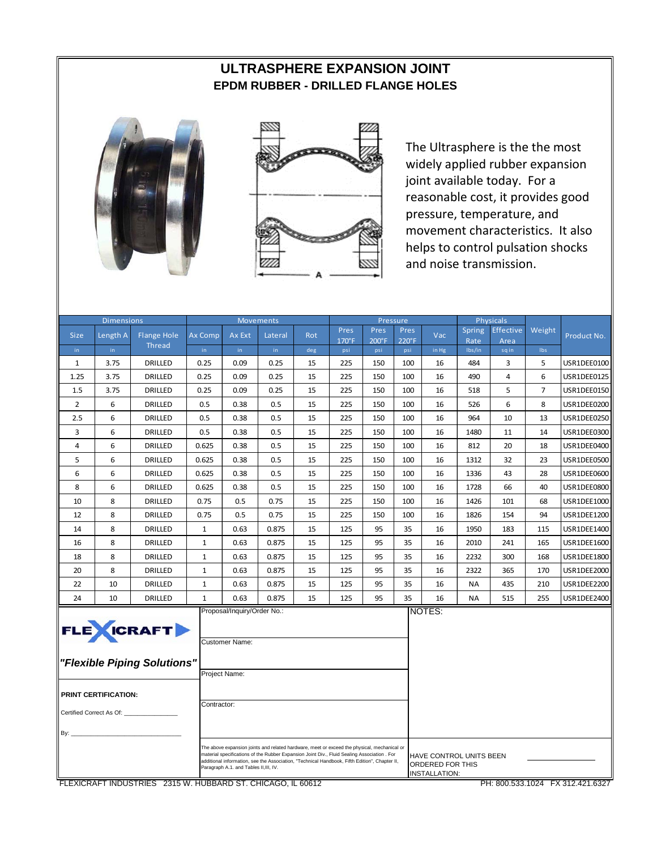# **ULTRASPHERE EXPANSION JOINT EPDM RUBBER - DRILLED FLANGE HOLES**





The Ultrasphere is the the most widely applied rubber expansion joint available today. For a reasonable cost, it provides good pressure, temperature, and movement characteristics. It also helps to control pulsation shocks and noise transmission.

| <b>Dimensions</b>        |                      |                             |                |                                               | <b>Movements</b>                                                                                                                                                                                                                                                                            |     |                        | Pressure               |                       |                                                                     |                | <b>Physicals</b> |                |                    |
|--------------------------|----------------------|-----------------------------|----------------|-----------------------------------------------|---------------------------------------------------------------------------------------------------------------------------------------------------------------------------------------------------------------------------------------------------------------------------------------------|-----|------------------------|------------------------|-----------------------|---------------------------------------------------------------------|----------------|------------------|----------------|--------------------|
| <b>Size</b>              | Length A             | <b>Flange Hole</b>          | <b>Ax Comp</b> | Ax Ext                                        | Lateral                                                                                                                                                                                                                                                                                     | Rot | Pres                   | Pres                   | Pres                  | Vac                                                                 | <b>Spring</b>  | Effective        | Weight         | Product No.        |
| in.                      | in.                  | <b>Thread</b>               | in.            | in.                                           | in.                                                                                                                                                                                                                                                                                         | deg | $170^{\circ}$ F<br>psi | $200^{\circ}$ F<br>psi | $220^{\circ}F$<br>psi | in Hg                                                               | Rate<br>Ibs/in | Area<br>sqin     | Ibs            |                    |
| $\mathbf{1}$             | 3.75                 | <b>DRILLED</b>              | 0.25           | 0.09                                          | 0.25                                                                                                                                                                                                                                                                                        | 15  | 225                    | 150                    | 100                   | 16                                                                  | 484            | 3                | 5              | USR1DEE0100        |
| 1.25                     | 3.75                 | DRILLED                     | 0.25           | 0.09                                          | 0.25                                                                                                                                                                                                                                                                                        | 15  | 225                    | 150                    | 100                   | 16                                                                  | 490            | 4                | 6              | USR1DEE0125        |
| 1.5                      | 3.75                 | DRILLED                     | 0.25           | 0.09                                          | 0.25                                                                                                                                                                                                                                                                                        | 15  | 225                    | 150                    | 100                   | 16                                                                  | 518            | 5                | $\overline{7}$ | USR1DEE0150        |
| $\overline{2}$           | 6                    | DRILLED                     | 0.5            | 0.38                                          | 0.5                                                                                                                                                                                                                                                                                         | 15  | 225                    | 150                    | 100                   | 16                                                                  | 526            | 6                | 8              | USR1DEE0200        |
| 2.5                      | 6                    | DRILLED                     | 0.5            | 0.38                                          | 0.5                                                                                                                                                                                                                                                                                         | 15  | 225                    | 150                    | 100                   | 16                                                                  | 964            | 10               | 13             | USR1DEE0250        |
| 3                        | 6                    | DRILLED                     | 0.5            | 0.38                                          | 0.5                                                                                                                                                                                                                                                                                         | 15  | 225                    | 150                    | 100                   | 16                                                                  | 1480           | 11               | 14             | USR1DEE0300        |
| 4                        | 6                    | DRILLED                     | 0.625          | 0.38                                          | 0.5                                                                                                                                                                                                                                                                                         | 15  | 225                    | 150                    | 100                   | 16                                                                  | 812            | 20               | 18             | USR1DEE0400        |
| 5                        | 6                    | DRILLED                     | 0.625          | 0.38                                          | 0.5                                                                                                                                                                                                                                                                                         | 15  | 225                    | 150                    | 100                   | 16                                                                  | 1312           | 32               | 23             | USR1DEE0500        |
| 6                        | 6                    | DRILLED                     | 0.625          | 0.38                                          | 0.5                                                                                                                                                                                                                                                                                         | 15  | 225                    | 150                    | 100                   | 16                                                                  | 1336           | 43               | 28             | USR1DEE0600        |
| 8                        | 6                    | DRILLED                     | 0.625          | 0.38                                          | 0.5                                                                                                                                                                                                                                                                                         | 15  | 225                    | 150                    | 100                   | 16                                                                  | 1728           | 66               | 40             | USR1DEE0800        |
| 10                       | 8                    | DRILLED                     | 0.75           | 0.5                                           | 0.75                                                                                                                                                                                                                                                                                        | 15  | 225                    | 150                    | 100                   | 16                                                                  | 1426           | 101              | 68             | USR1DEE1000        |
| 12                       | 8                    | DRILLED                     | 0.75           | 0.5                                           | 0.75                                                                                                                                                                                                                                                                                        | 15  | 225                    | 150                    | 100                   | 16                                                                  | 1826           | 154              | 94             | USR1DEE1200        |
| 14                       | 8                    | DRILLED                     | $\mathbf 1$    | 0.63                                          | 0.875                                                                                                                                                                                                                                                                                       | 15  | 125                    | 95                     | 35                    | 16                                                                  | 1950           | 183              | 115            | USR1DEE1400        |
| 16                       | 8                    | DRILLED                     | $\mathbf{1}$   | 0.63                                          | 0.875                                                                                                                                                                                                                                                                                       | 15  | 125                    | 95                     | 35                    | 16                                                                  | 2010           | 241              | 165            | <b>USR1DEE1600</b> |
| 18                       | 8                    | DRILLED                     | $\mathbf{1}$   | 0.63                                          | 0.875                                                                                                                                                                                                                                                                                       | 15  | 125                    | 95                     | 35                    | 16                                                                  | 2232           | 300              | 168            | USR1DEE1800        |
| 20                       | 8                    | DRILLED                     | $\mathbf{1}$   | 0.63                                          | 0.875                                                                                                                                                                                                                                                                                       | 15  | 125                    | 95                     | 35                    | 16                                                                  | 2322           | 365              | 170            | USR1DEE2000        |
| 22                       | 10                   | DRILLED                     | $\mathbf{1}$   | 0.63                                          | 0.875                                                                                                                                                                                                                                                                                       | 15  | 125                    | 95                     | 35                    | 16                                                                  | <b>NA</b>      | 435              | 210            | <b>USR1DEE2200</b> |
| 24                       | 10                   | DRILLED                     | $\mathbf{1}$   | 0.63                                          | 0.875                                                                                                                                                                                                                                                                                       | 15  | 125                    | 95                     | 35                    | 16                                                                  | <b>NA</b>      | 515              | 255            | USR1DEE2400        |
|                          |                      | FLE <b>XICRAFT</b>          |                | Proposal/Inquiry/Order No.:<br>Customer Name: |                                                                                                                                                                                                                                                                                             |     |                        |                        |                       | NOTES:                                                              |                |                  |                |                    |
|                          |                      | "Flexible Piping Solutions" |                | Project Name:                                 |                                                                                                                                                                                                                                                                                             |     |                        |                        |                       |                                                                     |                |                  |                |                    |
|                          | PRINT CERTIFICATION: |                             |                |                                               |                                                                                                                                                                                                                                                                                             |     |                        |                        |                       |                                                                     |                |                  |                |                    |
| Certified Correct As Of: |                      | Contractor:                 |                |                                               |                                                                                                                                                                                                                                                                                             |     |                        |                        |                       |                                                                     |                |                  |                |                    |
| By: $_{-}$               |                      |                             |                |                                               |                                                                                                                                                                                                                                                                                             |     |                        |                        |                       |                                                                     |                |                  |                |                    |
|                          |                      |                             |                | Paragraph A.1. and Tables II, III, IV.        | The above expansion joints and related hardware, meet or exceed the physical, mechanical or<br>material specifications of the Rubber Expansion Joint Div., Fluid Sealing Association . For<br>additional information, see the Association, "Technical Handbook, Fifth Edition", Chapter II, |     |                        |                        |                       | HAVE CONTROL UNITS BEEN<br>ORDERED FOR THIS<br><b>INSTALLATION:</b> |                |                  |                |                    |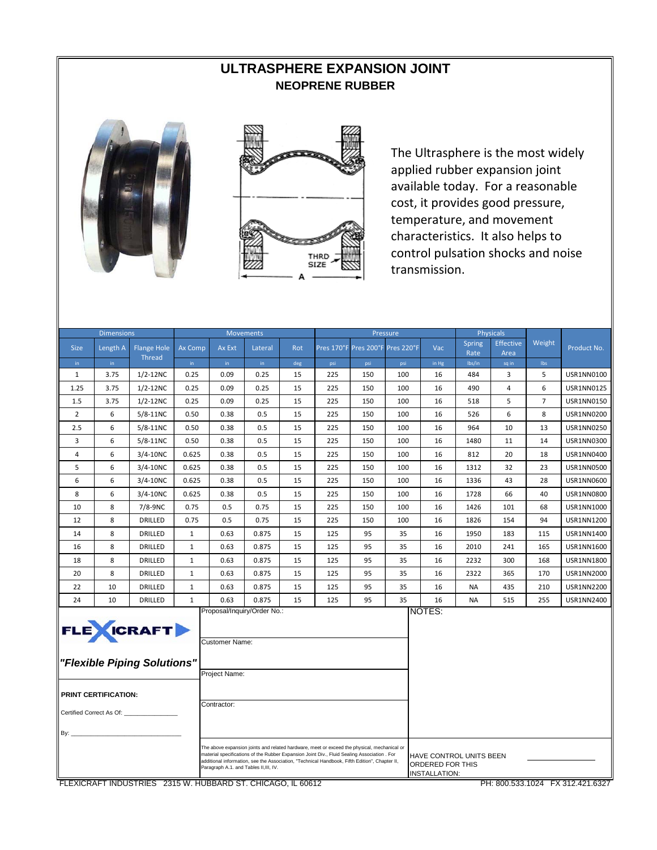# **ULTRASPHERE EXPANSION JOINT NEOPRENE RUBBER**





The Ultrasphere is the most widely applied rubber expansion joint available today. For a reasonable cost, it provides good pressure, temperature, and movement characteristics. It also helps to control pulsation shocks and noise transmission.

|                          | <b>Dimensions</b>                      |                             |              |                | <b>Movements</b>            |     |                                                                                                                                                                                            |                                  | Pressure |                                   |                | Physicals        |                |                   |
|--------------------------|----------------------------------------|-----------------------------|--------------|----------------|-----------------------------|-----|--------------------------------------------------------------------------------------------------------------------------------------------------------------------------------------------|----------------------------------|----------|-----------------------------------|----------------|------------------|----------------|-------------------|
| <b>Size</b>              | Length A                               | <b>Flange Hole</b>          | Ax Comp      | Ax Ext         | Lateral                     | Rot |                                                                                                                                                                                            | Pres 170°F Pres 200°F Pres 220°F |          | Vac                               | <b>Spring</b>  | <b>Effective</b> | Weight         | Product No.       |
| in.                      | in.                                    | Thread                      | in           | in.            | in.                         | deg | psi                                                                                                                                                                                        | psi                              | psi      | in Hg                             | Rate<br>Ibs/in | Area<br>sq in    | <b>Ibs</b>     |                   |
| $\mathbf{1}$             | 3.75                                   | $1/2 - 12NC$                | 0.25         | 0.09           | 0.25                        | 15  | 225                                                                                                                                                                                        | 150                              | 100      | 16                                | 484            | 3                | 5              | USR1NN0100        |
| 1.25                     | 3.75                                   | $1/2 - 12NC$                | 0.25         | 0.09           | 0.25                        | 15  | 225                                                                                                                                                                                        | 150                              | 100      | 16                                | 490            | 4                | 6              | <b>USR1NN0125</b> |
| 1.5                      | 3.75                                   | $1/2 - 12NC$                | 0.25         | 0.09           | 0.25                        | 15  | 225                                                                                                                                                                                        | 150                              | 100      | 16                                | 518            | 5                | $\overline{7}$ | <b>USR1NN0150</b> |
| $\overline{2}$           | 6                                      | $5/8-11NC$                  | 0.50         | 0.38           | 0.5                         | 15  | 225                                                                                                                                                                                        | 150                              | 100      | 16                                | 526            | 6                | 8              | <b>USR1NN0200</b> |
| 2.5                      | 6                                      | 5/8-11NC                    | 0.50         | 0.38           | 0.5                         | 15  | 225                                                                                                                                                                                        | 150                              | 100      | 16                                | 964            | 10               | 13             | USR1NN0250        |
| 3                        | 6                                      | 5/8-11NC                    | 0.50         | 0.38           | 0.5                         | 15  | 225                                                                                                                                                                                        | 150                              | 100      | 16                                | 1480           | 11               | 14             | USR1NN0300        |
| 4                        | 6                                      | $3/4 - 10NC$                | 0.625        | 0.38           | 0.5                         | 15  | 225                                                                                                                                                                                        | 150                              | 100      | 16                                | 812            | 20               | 18             | USR1NN0400        |
| 5                        | 6                                      | $3/4 - 10NC$                | 0.625        | 0.38           | 0.5                         | 15  | 225                                                                                                                                                                                        | 150                              | 100      | 16                                | 1312           | 32               | 23             | <b>USR1NN0500</b> |
| 6                        | 6                                      | $3/4 - 10NC$                | 0.625        | 0.38           | 0.5                         | 15  | 225                                                                                                                                                                                        | 150                              | 100      | 16                                | 1336           | 43               | 28             | USR1NN0600        |
| 8                        | 6                                      | 3/4-10NC                    | 0.625        | 0.38           | 0.5                         | 15  | 225                                                                                                                                                                                        | 150                              | 100      | 16                                | 1728           | 66               | 40             | USR1NN0800        |
| 10                       | 8                                      | 7/8-9NC                     | 0.75         | 0.5            | 0.75                        | 15  | 225                                                                                                                                                                                        | 150                              | 100      | 16                                | 1426           | 101              | 68             | USR1NN1000        |
| 12                       | 8                                      | DRILLED                     | 0.75         | 0.5            | 0.75                        | 15  | 225                                                                                                                                                                                        | 150                              | 100      | 16                                | 1826           | 154              | 94             | USR1NN1200        |
| 14                       | 8                                      | DRILLED                     | $\mathbf{1}$ | 0.63           | 0.875                       | 15  | 125                                                                                                                                                                                        | 95                               | 35       | 16                                | 1950           | 183              | 115            | USR1NN1400        |
| 16                       | 8                                      | <b>DRILLED</b>              | $\mathbf{1}$ | 0.63           | 0.875                       | 15  | 125                                                                                                                                                                                        | 95                               | 35       | 16                                | 2010           | 241              | 165            | USR1NN1600        |
| 18                       | 8                                      | DRILLED                     | $\mathbf{1}$ | 0.63           | 0.875                       | 15  | 125                                                                                                                                                                                        | 95                               | 35       | 16                                | 2232           | 300              | 168            | USR1NN1800        |
| 20                       | 8                                      | DRILLED                     | $\mathbf{1}$ | 0.63           | 0.875                       | 15  | 125                                                                                                                                                                                        | 95                               | 35       | 16                                | 2322           | 365              | 170            | USR1NN2000        |
| 22                       | 10                                     | DRILLED                     | $\mathbf{1}$ | 0.63           | 0.875                       | 15  | 125                                                                                                                                                                                        | 95                               | 35       | 16                                | NA             | 435              | 210            | USR1NN2200        |
| 24                       | 10                                     | DRILLED                     | $\mathbf{1}$ | 0.63           | 0.875                       | 15  | 125                                                                                                                                                                                        | 95                               | 35       | 16                                | ΝA             | 515              | 255            | USR1NN2400        |
|                          |                                        | FLE <b>XICRAFT</b>          |              | Customer Name: | Proposal/Inquiry/Order No.: |     |                                                                                                                                                                                            |                                  |          | NOTES:                            |                |                  |                |                   |
|                          |                                        | "Flexible Piping Solutions" |              |                |                             |     |                                                                                                                                                                                            |                                  |          |                                   |                |                  |                |                   |
|                          |                                        |                             |              | Project Name:  |                             |     |                                                                                                                                                                                            |                                  |          |                                   |                |                  |                |                   |
|                          |                                        |                             |              |                |                             |     |                                                                                                                                                                                            |                                  |          |                                   |                |                  |                |                   |
|                          | <b>PRINT CERTIFICATION:</b>            |                             |              | Contractor:    |                             |     |                                                                                                                                                                                            |                                  |          |                                   |                |                  |                |                   |
| Certified Correct As Of: |                                        |                             |              |                |                             |     |                                                                                                                                                                                            |                                  |          |                                   |                |                  |                |                   |
| By:                      |                                        |                             |              |                |                             |     |                                                                                                                                                                                            |                                  |          |                                   |                |                  |                |                   |
|                          |                                        |                             |              |                |                             |     |                                                                                                                                                                                            |                                  |          |                                   |                |                  |                |                   |
|                          |                                        |                             |              |                |                             |     | The above expansion joints and related hardware, meet or exceed the physical, mechanical or<br>material specifications of the Rubber Expansion Joint Div., Fluid Sealing Association . For |                                  |          | HAVE CONTROL UNITS BEEN           |                |                  |                |                   |
|                          |                                        |                             |              |                |                             |     | additional information, see the Association, "Technical Handbook, Fifth Edition", Chapter II,                                                                                              |                                  |          | ORDERED FOR THIS<br>INSTALLATION: |                |                  |                |                   |
|                          | Paragraph A.1. and Tables II, III, IV. |                             |              |                |                             |     |                                                                                                                                                                                            |                                  |          |                                   |                |                  |                |                   |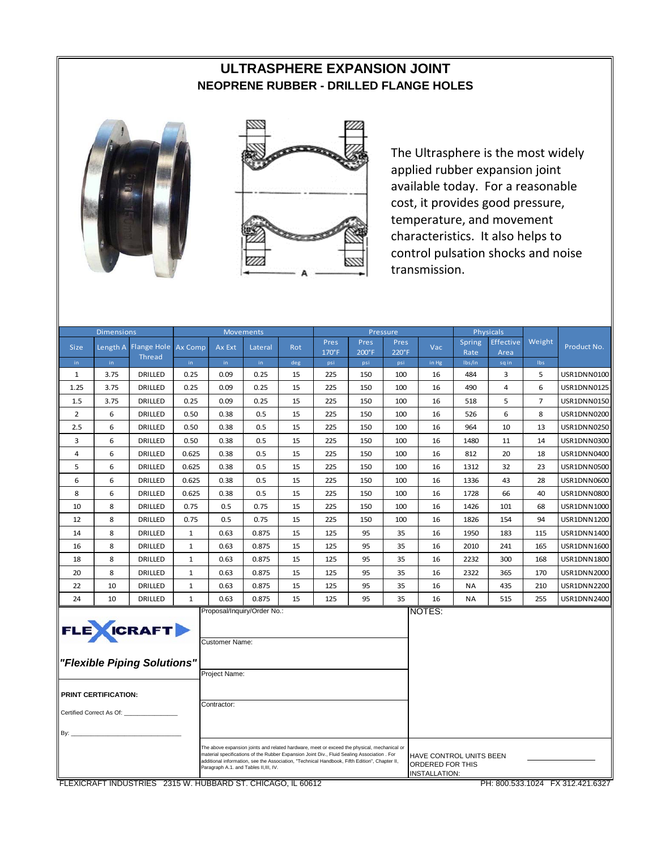#### **ULTRASPHERE EXPANSION JOINT NEOPRENE RUBBER - DRILLED FLANGE HOLES**





The Ultrasphere is the most widely applied rubber expansion joint available today. For a reasonable cost, it provides good pressure, temperature, and movement characteristics. It also helps to control pulsation shocks and noise transmission.

|                    | <b>Dimensions</b>           |                                                                                      |              |                                                | <b>Movements</b>                                                                                                                                                                                                                                                                                                                      |           |            |            | Pressure   |                                                              |               | <b>Physicals</b> |                | Product No.        |  |
|--------------------|-----------------------------|--------------------------------------------------------------------------------------|--------------|------------------------------------------------|---------------------------------------------------------------------------------------------------------------------------------------------------------------------------------------------------------------------------------------------------------------------------------------------------------------------------------------|-----------|------------|------------|------------|--------------------------------------------------------------|---------------|------------------|----------------|--------------------|--|
| <b>Size</b>        | Length A                    | Flange Hole   Ax Comp                                                                |              | Ax Ext                                         | Lateral                                                                                                                                                                                                                                                                                                                               | Rot       | Pres       | Pres       | Pres       | Vac                                                          | Spring        | <b>Effective</b> | Weight         |                    |  |
|                    |                             | <b>Thread</b>                                                                        |              |                                                |                                                                                                                                                                                                                                                                                                                                       |           | 170°F      | 200°F      | 220°F      |                                                              | Rate          | Area             |                |                    |  |
| in<br>$\mathbf{1}$ | in.<br>3.75                 | DRILLED                                                                              | in.<br>0.25  | in.<br>0.09                                    | in.<br>0.25                                                                                                                                                                                                                                                                                                                           | deg<br>15 | psi<br>225 | psi<br>150 | psi<br>100 | in Hg<br>16                                                  | Ibs/in<br>484 | sqin<br>3        | Ibs<br>5       | USR1DNN0100        |  |
| 1.25               | 3.75                        | DRILLED                                                                              | 0.25         | 0.09                                           | 0.25                                                                                                                                                                                                                                                                                                                                  | 15        | 225        | 150        | 100        | 16                                                           | 490           | 4                | 6              | USR1DNN0125        |  |
| 1.5                | 3.75                        | DRILLED                                                                              | 0.25         | 0.09                                           | 0.25                                                                                                                                                                                                                                                                                                                                  | 15        | 225        | 150        | 100        | 16                                                           | 518           | 5                | $\overline{7}$ | USR1DNN0150        |  |
| $\overline{2}$     | 6                           | DRILLED                                                                              | 0.50         | 0.38                                           | 0.5                                                                                                                                                                                                                                                                                                                                   | 15        | 225        | 150        | 100        | 16                                                           | 526           | 6                | 8              | USR1DNN0200        |  |
| 2.5                | 6                           | DRILLED                                                                              | 0.50         | 0.38                                           | 0.5                                                                                                                                                                                                                                                                                                                                   | 15        | 225        | 150        | 100        | 16                                                           | 964           | 10               | 13             | USR1DNN0250        |  |
| 3                  | 6                           | DRILLED                                                                              | 0.50         | 0.38                                           | 0.5                                                                                                                                                                                                                                                                                                                                   | 15        | 225        | 150        | 100        | 16                                                           | 1480          | 11               | 14             | USR1DNN0300        |  |
| 4                  | 6                           | DRILLED                                                                              | 0.625        | 0.38                                           | 0.5                                                                                                                                                                                                                                                                                                                                   | 15        | 225        | 150        | 100        | 16                                                           | 812           | 20               | 18             | USR1DNN0400        |  |
| 5                  | 6                           | DRILLED                                                                              | 0.625        | 0.38                                           | 0.5                                                                                                                                                                                                                                                                                                                                   | 15        | 225        | 150        | 100        | 16                                                           | 1312          | 32               | 23             | USR1DNN0500        |  |
| 6                  | 6                           | DRILLED                                                                              | 0.625        | 0.38                                           | 0.5                                                                                                                                                                                                                                                                                                                                   | 15        | 225        | 150        | 100        | 16                                                           | 1336          | 43               | 28             | USR1DNN0600        |  |
| 8                  | 6                           | DRILLED                                                                              | 0.625        | 0.38                                           | 0.5                                                                                                                                                                                                                                                                                                                                   | 15        | 225        | 150        | 100        | 16                                                           | 1728          | 66               | 40             | USR1DNN0800        |  |
| 10                 | 8                           | DRILLED                                                                              | 0.75         | 0.5                                            | 0.75                                                                                                                                                                                                                                                                                                                                  | 15        | 225        | 150        | 100        | 16                                                           | 1426          | 101              | 68             | USR1DNN1000        |  |
| 12                 | 8                           | DRILLED                                                                              | 0.75         | 0.5                                            | 0.75                                                                                                                                                                                                                                                                                                                                  | 15        | 225        | 150        | 100        | 16                                                           | 1826          | 154              | 94             | USR1DNN1200        |  |
| 14                 | 8                           | DRILLED                                                                              | $\mathbf{1}$ | 0.63                                           | 0.875                                                                                                                                                                                                                                                                                                                                 | 15        | 125        | 95         | 35         | 16                                                           | 1950          | 183              | 115            | USR1DNN1400        |  |
| 16                 | 8                           | DRILLED                                                                              | $\mathbf{1}$ | 0.63                                           | 0.875                                                                                                                                                                                                                                                                                                                                 | 15        | 125        | 95         | 35         | 16                                                           | 2010          | 241              | 165            | USR1DNN1600        |  |
| 18                 | 8                           | DRILLED                                                                              | $\mathbf{1}$ | 0.63                                           | 0.875                                                                                                                                                                                                                                                                                                                                 | 15        | 125        | 95         | 35         | 16                                                           | 2232          | 300              | 168            | USR1DNN1800        |  |
| 20                 | 8                           | DRILLED                                                                              | $\mathbf{1}$ | 0.63                                           | 0.875                                                                                                                                                                                                                                                                                                                                 | 15        | 125        | 95         | 35         | 16                                                           | 2322          | 365              | 170            | USR1DNN2000        |  |
| 22                 | 10                          | DRILLED                                                                              | $\mathbf{1}$ | 0.63                                           | 0.875                                                                                                                                                                                                                                                                                                                                 | 15        | 125        | 95         | 35         | 16                                                           | <b>NA</b>     | 435              | 210            | USR1DNN2200        |  |
| 24                 | 10                          | DRILLED                                                                              | $\mathbf{1}$ | 0.63                                           | 0.875                                                                                                                                                                                                                                                                                                                                 | 15        | 125        | 95         | 35         | 16                                                           | <b>NA</b>     | 515              | 255            | <b>USR1DNN2400</b> |  |
| By: _              | <b>PRINT CERTIFICATION:</b> | FLE CRAFT<br>"Flexible Piping Solutions"<br>Certified Correct As Of: _______________ |              | Customer Name:<br>Project Name:<br>Contractor: | Proposal/Inquiry/Order No.:                                                                                                                                                                                                                                                                                                           |           |            |            |            | NOTES:                                                       |               |                  |                |                    |  |
|                    |                             |                                                                                      |              |                                                | The above expansion joints and related hardware, meet or exceed the physical, mechanical or<br>material specifications of the Rubber Expansion Joint Div., Fluid Sealing Association . For<br>additional information, see the Association, "Technical Handbook, Fifth Edition", Chapter II,<br>Paragraph A.1. and Tables II, III, IV. |           |            |            |            | HAVE CONTROL UNITS BEEN<br>ORDERED FOR THIS<br>INSTALLATION: |               |                  |                |                    |  |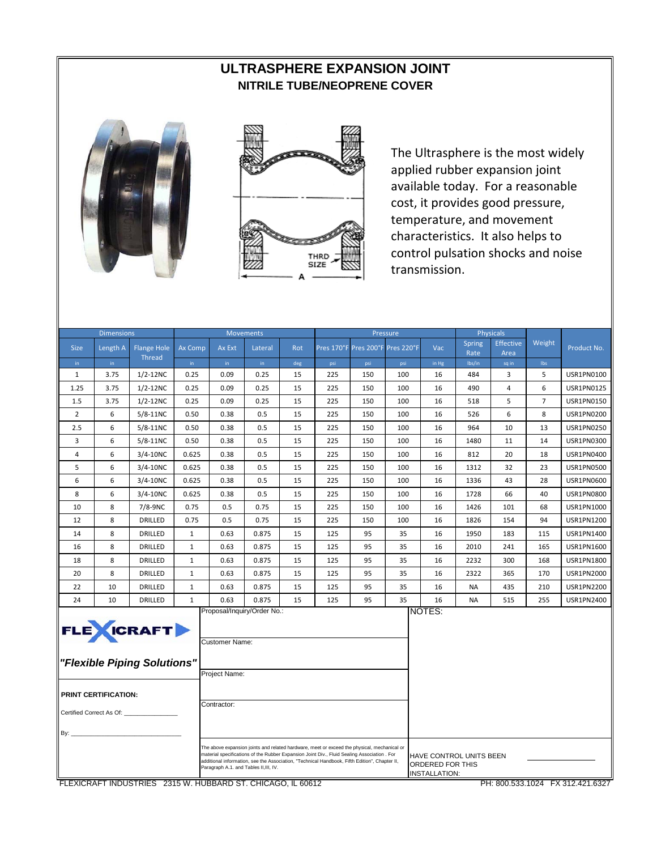# **ULTRASPHERE EXPANSION JOINT NITRILE TUBE/NEOPRENE COVER**





The Ultrasphere is the most widely applied rubber expansion joint available today. For a reasonable cost, it provides good pressure, temperature, and movement characteristics. It also helps to control pulsation shocks and noise transmission.

| <b>Dimensions</b>   |                          |                                                 |              |                                                                                                | <b>Movements</b> |           |                                                                                                                                                                                                                                                                                             |                       | Pressure   |                                                                     |                | <b>Physicals</b> |                |                   |
|---------------------|--------------------------|-------------------------------------------------|--------------|------------------------------------------------------------------------------------------------|------------------|-----------|---------------------------------------------------------------------------------------------------------------------------------------------------------------------------------------------------------------------------------------------------------------------------------------------|-----------------------|------------|---------------------------------------------------------------------|----------------|------------------|----------------|-------------------|
| <b>Size</b>         | Length A                 | <b>Flange Hole</b>                              | Ax Comp      | Ax Ext                                                                                         | Lateral          | Rot       | Pres 170°F                                                                                                                                                                                                                                                                                  | Pres 200°F Pres 220°F |            | Vac                                                                 | Spring         | <b>Effective</b> | Weight         | Product No.       |
|                     | in.                      | <b>Thread</b>                                   | in.          | in.                                                                                            | in.              |           |                                                                                                                                                                                                                                                                                             |                       |            |                                                                     | Rate<br>lbs/in | Area             | Ibs            |                   |
| in.<br>$\mathbf{1}$ | 3.75                     | $1/2 - 12NC$                                    | 0.25         | 0.09                                                                                           | 0.25             | deg<br>15 | psi<br>225                                                                                                                                                                                                                                                                                  | psi<br>150            | psi<br>100 | in Hg<br>16                                                         | 484            | sq in<br>3       | 5              | USR1PN0100        |
| 1.25                | 3.75                     | $1/2 - 12NC$                                    | 0.25         | 0.09                                                                                           | 0.25             | 15        | 225                                                                                                                                                                                                                                                                                         | 150                   | 100        | 16                                                                  | 490            | 4                | 6              | USR1PN0125        |
| 1.5                 | 3.75                     | $1/2 - 12NC$                                    | 0.25         | 0.09                                                                                           | 0.25             | 15        | 225                                                                                                                                                                                                                                                                                         | 150                   | 100        | 16                                                                  | 518            | 5                | $\overline{7}$ | USR1PN0150        |
| 2                   | 6                        | $5/8 - 11NC$                                    | 0.50         | 0.38                                                                                           | 0.5              | 15        | 225                                                                                                                                                                                                                                                                                         | 150                   | 100        | 16                                                                  | 526            | 6                | 8              | USR1PN0200        |
| 2.5                 | 6                        | $5/8-11NC$                                      | 0.50         | 0.38                                                                                           | 0.5              | 15        | 225                                                                                                                                                                                                                                                                                         | 150                   | 100        | 16                                                                  | 964            | 10               | 13             | USR1PN0250        |
| 3                   | 6                        | $5/8-11NC$                                      | 0.50         | 0.38                                                                                           | 0.5              | 15        | 225                                                                                                                                                                                                                                                                                         | 150                   | 100        | 16                                                                  | 1480           | 11               | 14             | USR1PN0300        |
| $\overline{4}$      | 6                        | 3/4-10NC                                        | 0.625        | 0.38                                                                                           | 0.5              | 15        | 225                                                                                                                                                                                                                                                                                         | 150                   | 100        | 16                                                                  | 812            | 20               | 18             | USR1PN0400        |
| 5                   | 6                        | $3/4 - 10NC$                                    | 0.625        | 0.38                                                                                           | 0.5              | 15        | 225                                                                                                                                                                                                                                                                                         | 150                   | 100        | 16                                                                  | 1312           | 32               | 23             | USR1PN0500        |
| 6                   | 6                        | $3/4 - 10NC$                                    | 0.625        | 0.38                                                                                           | 0.5              | 15        | 225                                                                                                                                                                                                                                                                                         | 150                   | 100        | 16                                                                  | 1336           | 43               | 28             | USR1PN0600        |
| 8                   | 6                        | $3/4 - 10NC$                                    | 0.625        | 0.38                                                                                           | 0.5              | 15        | 225                                                                                                                                                                                                                                                                                         | 150                   | 100        | 16                                                                  | 1728           | 66               | 40             | <b>USR1PN0800</b> |
| 10                  | 8                        | 7/8-9NC                                         | 0.75         | 0.5                                                                                            | 0.75             | 15        | 225                                                                                                                                                                                                                                                                                         | 150                   | 100        | 16                                                                  | 1426           | 101              | 68             | USR1PN1000        |
| 12                  | 8                        | DRILLED                                         | 0.75         | 0.5                                                                                            | 0.75             | 15        | 225                                                                                                                                                                                                                                                                                         | 150                   | 100        | 16                                                                  | 1826           | 154              | 94             | USR1PN1200        |
| 14                  | 8                        | DRILLED                                         | $\mathbf{1}$ | 0.63                                                                                           | 0.875            | 15        | 125                                                                                                                                                                                                                                                                                         | 95                    | 35         | 16                                                                  | 1950           | 183              | 115            | USR1PN1400        |
| 16                  | 8                        | DRILLED                                         | $\mathbf{1}$ | 0.63                                                                                           | 0.875            | 15        | 125                                                                                                                                                                                                                                                                                         | 95                    | 35         | 16                                                                  | 2010           | 241              | 165            | USR1PN1600        |
| 18                  | 8                        | DRILLED                                         | $\mathbf{1}$ | 0.63                                                                                           | 0.875            | 15        | 125                                                                                                                                                                                                                                                                                         | 95                    | 35         | 16                                                                  | 2232           | 300              | 168            | USR1PN1800        |
| 20                  | 8                        | <b>DRILLED</b>                                  | $\mathbf{1}$ | 0.63                                                                                           | 0.875            | 15        | 125                                                                                                                                                                                                                                                                                         | 95                    | 35         | 16                                                                  | 2322           | 365              | 170            | USR1PN2000        |
| 22                  | 10                       | DRILLED                                         | $\mathbf{1}$ | 0.63                                                                                           | 0.875            | 15        | 125                                                                                                                                                                                                                                                                                         | 95                    | 35         | 16                                                                  | <b>NA</b>      | 435              | 210            | USR1PN2200        |
| 24                  | 10                       | DRILLED                                         | $\mathbf{1}$ | 0.63                                                                                           | 0.875            | 15        | 125                                                                                                                                                                                                                                                                                         | 95                    | 35         | 16                                                                  | <b>NA</b>      | 515              | 255            | USR1PN2400        |
|                     | PRINT CERTIFICATION:     | <b>FLE</b> CRAFT<br>"Flexible Piping Solutions" |              | NOTES:<br>Proposal/Inquiry/Order No.:<br><b>Customer Name:</b><br>Project Name:<br>Contractor: |                  |           |                                                                                                                                                                                                                                                                                             |                       |            |                                                                     |                |                  |                |                   |
| By:                 | Certified Correct As Of: |                                                 |              | Paragraph A.1. and Tables II, III, IV.                                                         |                  |           | The above expansion joints and related hardware, meet or exceed the physical, mechanical or<br>material specifications of the Rubber Expansion Joint Div., Fluid Sealing Association . For<br>additional information, see the Association, "Technical Handbook, Fifth Edition", Chapter II, |                       |            | HAVE CONTROL UNITS BEEN<br>ORDERED FOR THIS<br><b>INSTALLATION:</b> |                |                  |                |                   |